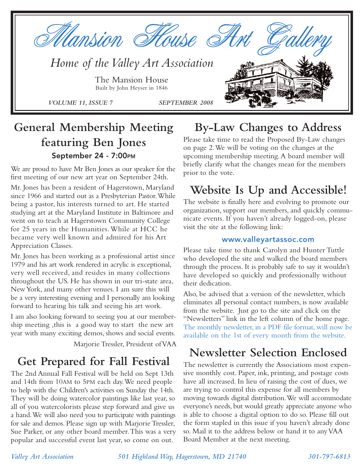

## **General Membership Meeting featuring Ben Jones September 24 - 7:00PM**

We are proud to have Mr Ben Jones as our speaker for the first meeting of our new art year on September 24th.

Mr. Jones has been a resident of Hagerstown, Maryland since 1966 and started out as a Presbyterian Pastor.While being a pastor, his interests turned to art. He started studying art at the Maryland Institute in Baltimore and went on to teach at Hagerstown Community College for 25 years in the Humanities. While at HCC he became very well known and admired for his Art Appreciation Classes.

Mr. Jones has been working as a professional artist since 1979 and his art work rendered in acrylic is exceptional, very well received, and resides in many collections throughout the US. He has shown in our tri-state area, New York, and many other venues. I am sure this will be a very interesting evening and I personally am looking forward to hearing his talk and seeing his art work.

I am also looking forward to seeing you at our membership meeting ,this is a good way to start the new art year with many exciting demos, shows and social events.

Marjorie Tressler, President of VAA

## **Get Prepared for Fall Festival**

The 2nd Annual Fall Festival will be held on Sept 13th and 14th from 10AM to 5PM each day.We need people to help with the Children's activities on Sunday the 14th. They will be doing watercolor paintings like last year, so all of you watercolorists please step forward and give us a hand.We will also need you to participate with paintings for sale and demos. Please sign up with Marjorie Tressler, Sue Parker, or any other board member.This was a very popular and successful event last year, so come on out.

## **By-Law Changes to Address**

Please take time to read the Proposed By-Law changes on page 2.We will be voting on the changes at the upcoming membership meeting.A board member will briefly clarify what the changes mean for the members prior to the vote.

## **Website Is Up and Accessible!**

The website is finally here and evolving to promote our organization, support our members, and quickly communicate events. If you haven't already logged-on, please visit the site at the following link:

#### **www.valleyartassoc.com**

Please take time to thank Carolyn and Hunter Tuttle who developed the site and walked the board members through the process. It is probably safe to say it wouldn't have developed so quickly and professionally without their dedication.

Also, be advised that a version of the newsletter, which eliminates all personal contact numbers, is now available from the website. Just go to the site and click on the "Newsletters" link in the left column of the home page. The monthly newsletter, in a PDF file format, will now be available on the 1st of every month from the website.

## **Newsletter Selection Enclosed**

The newsletter is currently the Associations most expensive monthly cost. Paper, ink, printing, and postage costs have all increased. In lieu of raising the cost of dues, we are trying to control this expense for all members by moving towards digital distribution.We will accommodate everyone's needs, but would greatly appreciate anyone who is able to choose a digital option to do so. Please fill out the form stapled in this issue if you haven't already done so. Mail it to the address below or hand it to any VAA Board Member at the next meeting.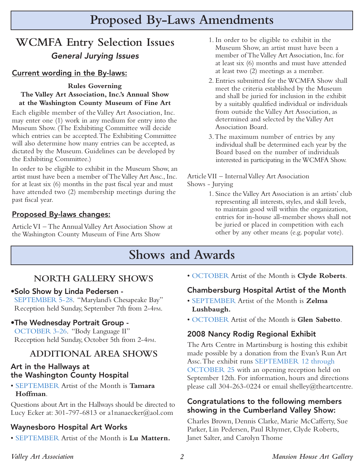# **Proposed By-Laws Amendments**

## **WCMFA Entry Selection Issues** General Jurying Issues

### **Current wording in the By-laws:**

#### **Rules Governing The Valley Art Association, Inc.'s Annual Show at the Washington County Museum of Fine Art**

Each eligible member of the Valley Art Association, Inc. may enter one (1) work in any medium for entry into the Museum Show. (The Exhibiting Committee will decide which entries can be accepted.The Exhibiting Committee will also determine how many entries can be accepted, as dictated by the Museum. Guidelines can be developed by the Exhibiting Committee.)

In order to be eligible to exhibit in the Museum Show, an artist must have been a member of The Valley Art Assc., Inc. for at least six (6) months in the past fiscal year and must have attended two (2) membership meetings during the past fiscal year.

### **Proposed By-laws changes:**

Article VI – The Annual Valley Art Association Show at the Washington County Museum of Fine Arts Show

- 1. In order to be eligible to exhibit in the Museum Show, an artist must have been a member of The Valley Art Association, Inc. for at least six (6) months and must have attended at least two (2) meetings as a member.
- 2. Entries submitted for the WCMFA Show shall meet the criteria established by the Museum and shall be juried for inclusion in the exhibit by a suitably qualified individual or individuals from outside the Valley Art Association, as determined and selected by the Valley Art Association Board.
- 3.The maximum number of entries by any individual shall be determined each year by the Board based on the number of individuals interested in participating in the WCMFA Show.

#### Article VII – Internal Valley Art Association Shows - Jurying

1. Since the Valley Art Association is an artists' club representing all interests, styles, and skill levels, to maintain good will within the organization, entries for in-house all-member shows shall not be juried or placed in competition with each other by any other means (e.g. popular vote).

## **Shows and Awards**

## **NORTH GALLERY SHOWS**

**•Solo Show by Linda Pedersen -** 

SEPTEMBER 5-28. "Maryland's Chesapeake Bay" Reception held Sunday, September 7th from 2-4PM.

### **•The Wednesday Portrait Group -**

OCTOBER 3-26. "Body Language II" Reception held Sunday, October 5th from 2-4PM.

## **ADDITIONAL AREA SHOWS**

#### **Art in the Hallways at the Washington County Hospital**

• SEPTEMBER Artist of the Month is **Tamara Hoffman**.

Questions about Art in the Hallways should be directed to Lucy Ecker at: 301-797-6813 or a1nanaecker@aol.com

### **Waynesboro Hospital Art Works**

• SEPTEMBER Artist of the Month is **Lu Mattern.**

• OCTOBER Artist of the Month is **Clyde Roberts**.

### **Chambersburg Hospital Artist of the Month**

- SEPTEMBER Artist of the Month is **Zelma Lushbaugh.**
- OCTOBER Artist of the Month is **Glen Sabetto**.

### **2008 Nancy Rodig Regional Exhibit**

The Arts Centre in Martinsburg is hosting this exhibit made possible by a donation from the Evan's Run Art Assc.The exhibit runs SEPTEMBER 12 through OCTOBER 25 with an opening reception held on September 12th. For information, hours and directions please call 304-263-0224 or email shelley@theartcentre.

### **Congratulations to the following members showing in the Cumberland Valley Show:**

Charles Brown, Dennis Clarke, Marie McCafferty, Sue Parker, Lin Pedersen, Paul Rhymer, Clyde Roberts, Janet Salter, and Carolyn Thome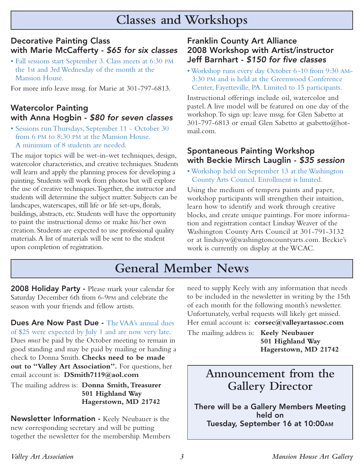# **Classes and Workshops**

## **Decorative Painting Class with Marie McCafferty -** \$65 for six classes

• Fall sessions start September 3. Class meets at 6:30 PM the 1st and 3rd Wednesday of the month at the Mansion House.

For more info leave mssg. for Marie at 301-797-6813.

## **Watercolor Painting with Anna Hogbin -** \$80 for seven classes

• Sessions run Thursdays, September 11 - October 30 from 6 PM to 8:30 PM at the Mansion House. A minimum of 8 students are needed.

The major topics will be wet-in-wet techniques, design, watercolor characteristics, and creative techniques. Students will learn and apply the planning process for developing a painting. Students will work from photos but will explore the use of creative techniques.Together, the instructor and students will determine the subject matter. Subjects can be landscapes, waterscapes, still life or life set-ups, florals, buildings, abstracts, etc. Students will have the opportunity to paint the instructional demo or make his/her own creation. Students are expected to use professional quality materials.A list of materials will be sent to the student upon completion of registration.

### **Franklin County Art Alliance 2008 Workshop with Artist/instructor Jeff Barnhart -** \$150 for five classes

• Workshop runs every day October 6-10 from 9:30 AM-3:30 PM and is held at the Greenwood Conference Center, Fayetteville, PA. Limited to 15 participants.

Instructional offerings include oil, watercolor and pastel. A live model will be featured on one day of the workshop.To sign up: leave mssg. for Glen Sabetto at 301-797-6813 or email Glen Sabetto at gsabetto@hotmail.com.

### **Spontaneous Painting Workshop with Beckie Mirsch Lauglin -** \$35 session

• Workshop held on September 13 at the Washington County Arts Council. Enrollment is limited.

Using the medium of tempera paints and paper, workshop participants will strengthen their intuition, learn how to identify and work through creative blocks, and create unique paintings. For more information and registration contact Lindsay Weaver of the Washington County Arts Council at 301-791-3132 or at lindsayw@washingtoncountyarts.com. Beckie's work is currently on display at the WCAC.

# **General Member News**

**2008 Holiday Party -** Please mark your calendar for Saturday December 6th from 6-9PM and celebrate the season with your friends and fellow artists.

**Dues Are Now Past Due -** The VAA's annual dues of \$25 were expected by July 1 and are now very late. Dues *must* be paid by the October meeting to remain in good standing and may be paid by mailing or handing a check to Donna Smith. **Checks need to be made out to "Valley Art Association".** For questions, her email account is: **DSmith7119@aol.com**

The mailing address is: **Donna Smith,Treasurer 501 Highland Way Hagerstown, MD 21742**

**Newsletter Information -** Keely Neubauer is the new corresponding secretary and will be putting together the newsletter for the membership. Members need to supply Keely with any information that needs to be included in the newsletter in writing by the 15th of each month for the following month's newsletter. Unfortunately, verbal requests will likely get missed.

Her email account is: **corsec@valleyartassoc.com**

The mailing address is: **Keely Neubauer 501 Highland Way Hagerstown, MD 21742**

## **Announcement from the Gallery Director**

**There will be a Gallery Members Meeting held on Tuesday, September 16 at 10:00AM**